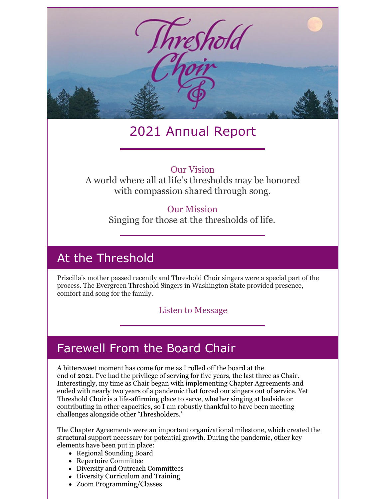

# 2021 Annual Report

### Our Vision

A world where all at life's thresholds may be honored with compassion shared through song.

### Our Mission

Singing for those at the thresholds of life.

### At the Threshold

Priscilla's mother passed recently and Threshold Choir singers were a special part of the process. The Evergreen Threshold Singers in Washington State provided presence, comfort and song for the family.

### Listen to [Message](https://drive.google.com/file/d/100jju6hC7welSJkzpWMZpp4VCwYKCGKQ/view)

### Farewell From the Board Chair

A bittersweet moment has come for me as I rolled off the board at the end of 2021. I've had the privilege of serving for five years, the last three as Chair. Interestingly, my time as Chair began with implementing Chapter Agreements and ended with nearly two years of a pandemic that forced our singers out of service. Yet Threshold Choir is a life-affirming place to serve, whether singing at bedside or contributing in other capacities, so I am robustly thankful to have been meeting challenges alongside other 'Thresholders.'

The Chapter Agreements were an important organizational milestone, which created the structural support necessary for potential growth. During the pandemic, other key elements have been put in place:

- Regional Sounding Board
- Repertoire Committee
- Diversity and Outreach Committees
- Diversity Curriculum and Training
- Zoom Programming/Classes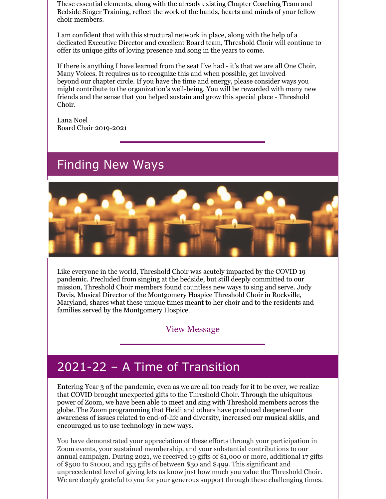These essential elements, along with the already existing Chapter Coaching Team and Bedside Singer Training, reflect the work of the hands, hearts and minds of your fellow choir members.

I am confident that with this structural network in place, along with the help of a dedicated Executive Director and excellent Board team, Threshold Choir will continue to offer its unique gifts of loving presence and song in the years to come.

If there is anything I have learned from the seat I've had - it's that we are all One Choir, Many Voices. It requires us to recognize this and when possible, get involved beyond our chapter circle. If you have the time and energy, please consider ways you might contribute to the organization's well-being. You will be rewarded with many new friends and the sense that you helped sustain and grow this special place - Threshold Choir.

Lana Noel Board Chair 2019-2021

### Finding New Ways



Like everyone in the world, Threshold Choir was acutely impacted by the COVID 19 pandemic. Precluded from singing at the bedside, but still deeply committed to our mission, Threshold Choir members found countless new ways to sing and serve. Judy Davis, Musical Director of the Montgomery Hospice Threshold Choir in Rockville, Maryland, shares what these unique times meant to her choir and to the residents and families served by the Montgomery Hospice.

### View [Message](https://www.dropbox.com/s/cpr02i6q15gpwsr/Judy Davis TCI support video.mp4?dl=0)

## 2021-22 – A Time of Transition

Entering Year 3 of the pandemic, even as we are all too ready for it to be over, we realize that COVID brought unexpected gifts to the Threshold Choir. Through the ubiquitous power of Zoom, we have been able to meet and sing with Threshold members across the globe. The Zoom programming that Heidi and others have produced deepened our awareness of issues related to end-of-life and diversity, increased our musical skills, and encouraged us to use technology in new ways.

You have demonstrated your appreciation of these efforts through your participation in Zoom events, your sustained membership, and your substantial contributions to our annual campaign. During 2021, we received 19 gifts of \$1,000 or more, additional 17 gifts of \$500 to \$1000, and 153 gifts of between \$50 and \$499. This significant and unprecedented level of giving lets us know just how much you value the Threshold Choir. We are deeply grateful to you for your generous support through these challenging times.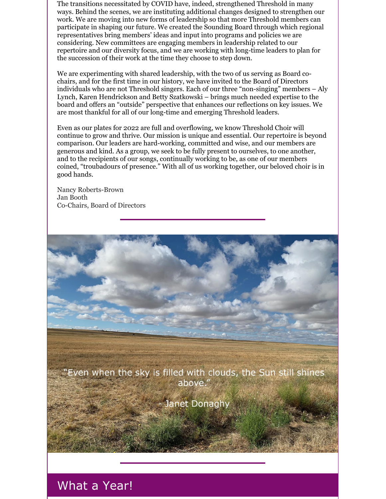The transitions necessitated by COVID have, indeed, strengthened Threshold in many ways. Behind the scenes, we are instituting additional changes designed to strengthen our work. We are moving into new forms of leadership so that more Threshold members can participate in shaping our future. We created the Sounding Board through which regional representatives bring members' ideas and input into programs and policies we are considering. New committees are engaging members in leadership related to our repertoire and our diversity focus, and we are working with long-time leaders to plan for the succession of their work at the time they choose to step down.

We are experimenting with shared leadership, with the two of us serving as Board cochairs, and for the first time in our history, we have invited to the Board of Directors individuals who are not Threshold singers. Each of our three "non-singing" members – Aly Lynch, Karen Hendrickson and Betty Szatkowski – brings much needed expertise to the board and offers an "outside" perspective that enhances our reflections on key issues. We are most thankful for all of our long-time and emerging Threshold leaders.

Even as our plates for 2022 are full and overflowing, we know Threshold Choir will continue to grow and thrive. Our mission is unique and essential. Our repertoire is beyond comparison. Our leaders are hard-working, committed and wise, and our members are generous and kind. As a group, we seek to be fully present to ourselves, to one another, and to the recipients of our songs, continually working to be, as one of our members coined, "troubadours of presence." With all of us working together, our beloved choir is in good hands.

Nancy Roberts-Brown Jan Booth Co-Chairs, Board of Directors

'Even when the sky is filled with clouds, the Sun still shines above."

lanet Donaghy

### What a Year!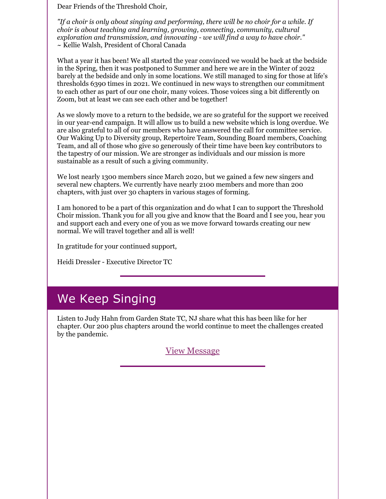Dear Friends of the Threshold Choir,

*"If a choir is only about singing and performing, there will be no choir for a while. If choir is about teaching and learning, growing, connecting, community, cultural exploration and transmission, and innovating - we will find a way to have choir."* ~ Kellie Walsh, President of Choral Canada

What a year it has been! We all started the year convinced we would be back at the bedside in the Spring, then it was postponed to Summer and here we are in the Winter of 2022 barely at the bedside and only in some locations. We still managed to sing for those at life's thresholds 6390 times in 2021. We continued in new ways to strengthen our commitment to each other as part of our one choir, many voices. Those voices sing a bit differently on Zoom, but at least we can see each other and be together!

As we slowly move to a return to the bedside, we are so grateful for the support we received in our year-end campaign. It will allow us to build a new website which is long overdue. We are also grateful to all of our members who have answered the call for committee service. Our Waking Up to Diversity group, Repertoire Team, Sounding Board members, Coaching Team, and all of those who give so generously of their time have been key contributors to the tapestry of our mission. We are stronger as individuals and our mission is more sustainable as a result of such a giving community.

We lost nearly 1300 members since March 2020, but we gained a few new singers and several new chapters. We currently have nearly 2100 members and more than 200 chapters, with just over 30 chapters in various stages of forming.

I am honored to be a part of this organization and do what I can to support the Threshold Choir mission. Thank you for all you give and know that the Board and I see you, hear you and support each and every one of you as we move forward towards creating our new normal. We will travel together and all is well!

In gratitude for your continued support,

Heidi Dressler - Executive Director TC

## We Keep Singing

Listen to Judy Hahn from Garden State TC, NJ share what this has been like for her chapter. Our 200 plus chapters around the world continue to meet the challenges created by the pandemic.

View [Message](https://drive.google.com/file/d/100x0s1eTQLyF3reOnLG3z-9qRkOBBcPR/view)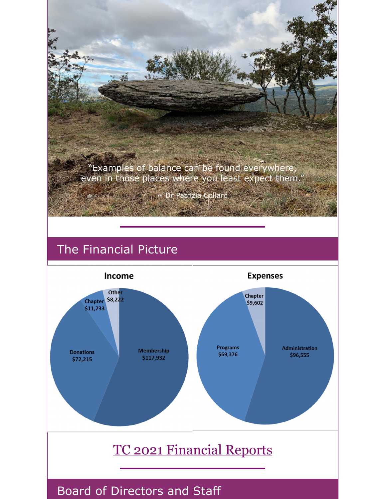

# The Financial Picture